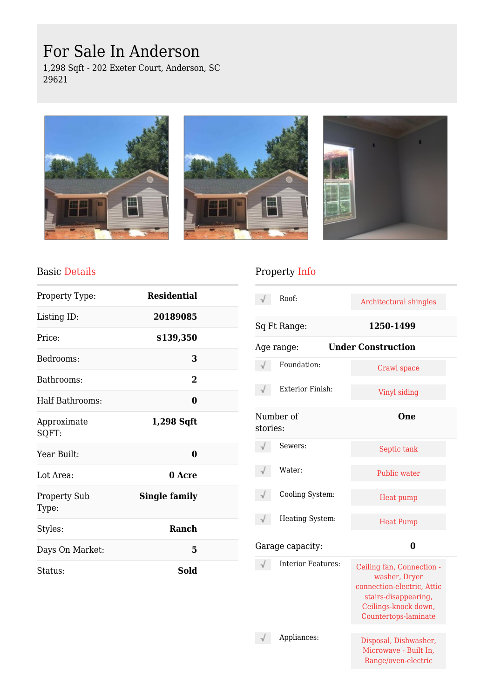# For Sale In Anderson

1,298 Sqft - 202 Exeter Court, Anderson, SC 29621







#### Basic Details

| Property Type:               | <b>Residential</b>   |  |
|------------------------------|----------------------|--|
| Listing ID:                  | 20189085             |  |
| Price:                       | \$139,350            |  |
| Bedrooms:                    | 3                    |  |
| Bathrooms:                   | $\mathbf{2}$         |  |
| Half Bathrooms:              | 0                    |  |
| Approximate<br>SQFT:         | 1,298 Sqft           |  |
| Year Built:                  | 0                    |  |
| Lot Area:                    | 0 Acre               |  |
| <b>Property Sub</b><br>Type: | <b>Single family</b> |  |
| Styles:                      | Ranch                |  |
| Days On Market:              | 5                    |  |
| Status:                      | Sold                 |  |

## Property Info

|          | Roof:                     | Architectural shingles                                                                                                                           |
|----------|---------------------------|--------------------------------------------------------------------------------------------------------------------------------------------------|
|          | Sq Ft Range:              | 1250-1499                                                                                                                                        |
|          | Age range:                | <b>Under Construction</b>                                                                                                                        |
|          | Foundation:               | Crawl space                                                                                                                                      |
|          | <b>Exterior Finish:</b>   | Vinyl siding                                                                                                                                     |
| stories: | Number of                 | <b>One</b>                                                                                                                                       |
|          | Sewers:                   | Septic tank                                                                                                                                      |
|          | Water:                    | Public water                                                                                                                                     |
|          | Cooling System:           | Heat pump                                                                                                                                        |
|          | Heating System:           | <b>Heat Pump</b>                                                                                                                                 |
|          | Garage capacity:          | 0                                                                                                                                                |
|          | <b>Interior Features:</b> | Ceiling fan, Connection -<br>washer, Dryer<br>connection-electric, Attic<br>stairs-disappearing,<br>Ceilings-knock down,<br>Countertops-laminate |
|          | Appliances:               | Disposal, Dishwasher,<br>Microwave - Built In,<br>Range/oven-electric                                                                            |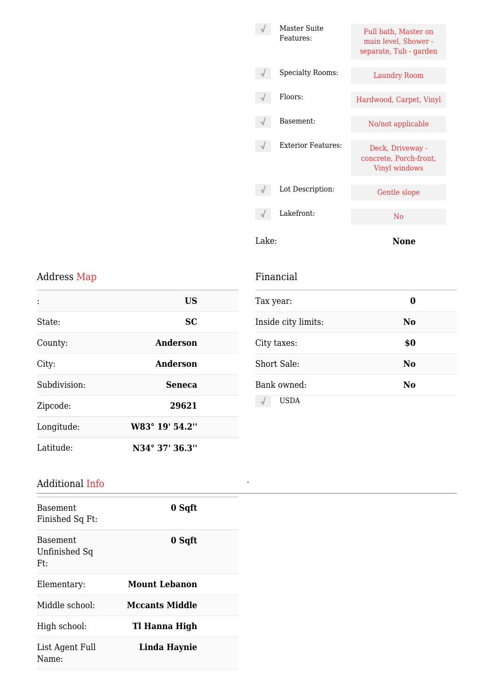| Lake: |                           | None                                                                   |
|-------|---------------------------|------------------------------------------------------------------------|
|       | Lakefront:                | N <sub>0</sub>                                                         |
|       | Lot Description:          | Gentle slope                                                           |
|       | <b>Exterior Features:</b> | Deck, Driveway -<br>concrete, Porch-front,<br>Vinyl windows            |
|       | Basement:                 | No/not applicable                                                      |
|       | Floors:                   | Hardwood, Carpet, Vinyl                                                |
|       | <b>Specialty Rooms:</b>   | <b>Laundry Room</b>                                                    |
|       | Master Suite<br>Features: | Full bath, Master on<br>main level, Shower -<br>separate, Tub - garden |
|       |                           |                                                                        |

## Address Map

|              | <b>US</b>       |
|--------------|-----------------|
| State:       | <b>SC</b>       |
| County:      | Anderson        |
| City:        | <b>Anderson</b> |
| Subdivision: | <b>Seneca</b>   |
| Zipcode:     | 29621           |
| Longitude:   | W83° 19' 54.2"  |
| Latitude:    | N34° 37' 36.3"  |

## Financial

*-*

| Tax year:           | 0              |
|---------------------|----------------|
| Inside city limits: | N <sub>0</sub> |
| City taxes:         | \$0            |
| Short Sale:         | N <sub>0</sub> |
| Bank owned:         | No             |
| <b>USDA</b>         |                |

### Additional Info

| Basement.<br>Finished Sq Ft:      | 0 Sqft                |
|-----------------------------------|-----------------------|
| Basement.<br>Unfinished Sq<br>Ft: | 0 Sqft                |
| Elementary:                       | Mount Lebanon         |
| Middle school:                    | <b>Mccants Middle</b> |
| High school:                      | Tl Hanna High         |
| List Agent Full<br>Name:          | Linda Haynie          |